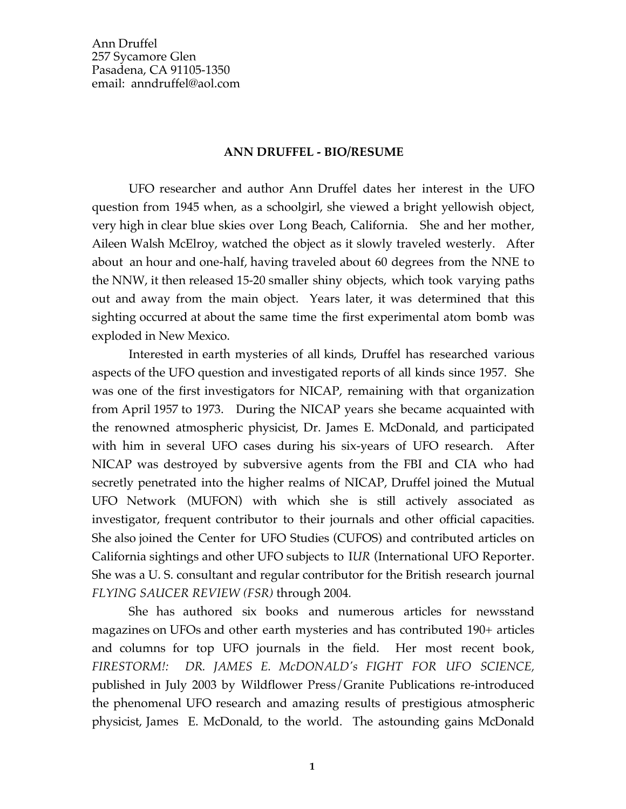Ann Druffel 257 Sycamore Glen Pasadena, CA 91105-1350 email: anndruffel@aol.com

### **ANN DRUFFEL - BIO/RESUME**

UFO researcher and author Ann Druffel dates her interest in the UFO question from 1945 when, as a schoolgirl, she viewed a bright yellowish object, very high in clear blue skies over Long Beach, California. She and her mother, Aileen Walsh McElroy, watched the object as it slowly traveled westerly. After about an hour and one-half, having traveled about 60 degrees from the NNE to the NNW, it then released 15-20 smaller shiny objects, which took varying paths out and away from the main object. Years later, it was determined that this sighting occurred at about the same time the first experimental atom bomb was exploded in New Mexico.

Interested in earth mysteries of all kinds, Druffel has researched various aspects of the UFO question and investigated reports of all kinds since 1957. She was one of the first investigators for NICAP, remaining with that organization from April 1957 to 1973. During the NICAP years she became acquainted with the renowned atmospheric physicist, Dr. James E. McDonald, and participated with him in several UFO cases during his six-years of UFO research. After NICAP was destroyed by subversive agents from the FBI and CIA who had secretly penetrated into the higher realms of NICAP, Druffel joined the Mutual UFO Network (MUFON) with which she is still actively associated as investigator, frequent contributor to their journals and other official capacities. She also joined the Center for UFO Studies (CUFOS) and contributed articles on California sightings and other UFO subjects to I*UR* (International UFO Reporter. She was a U. S. consultant and regular contributor for the British research journal *FLYING SAUCER REVIEW (FSR)* through 2004*.*

She has authored six books and numerous articles for newsstand magazines on UFOs and other earth mysteries and has contributed 190+ articles and columns for top UFO journals in the field. Her most recent book, *FIRESTORM!: DR. JAMES E. McDONALD's FIGHT FOR UFO SCIENCE,* published in July 2003 by Wildflower Press/Granite Publications re-introduced the phenomenal UFO research and amazing results of prestigious atmospheric physicist, James E. McDonald, to the world. The astounding gains McDonald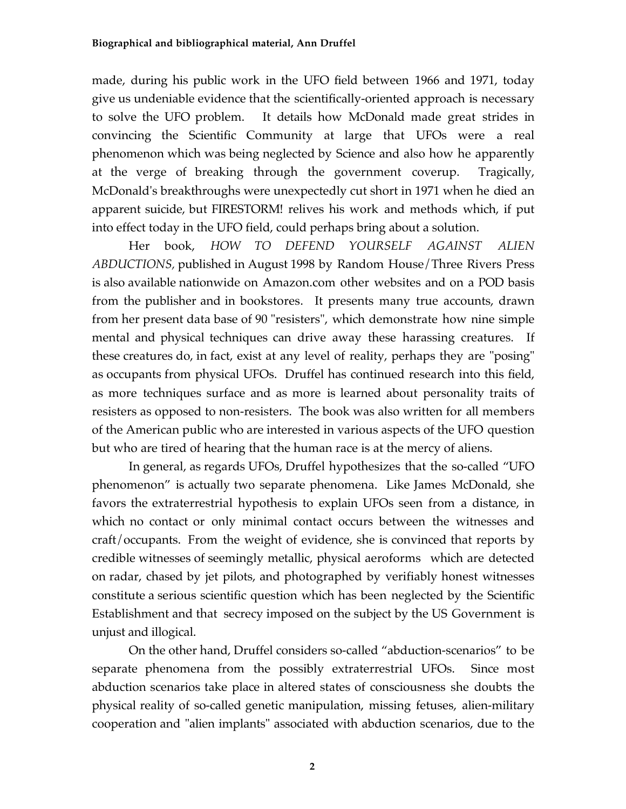made, during his public work in the UFO field between 1966 and 1971, today give us undeniable evidence that the scientifically-oriented approach is necessary to solve the UFO problem. It details how McDonald made great strides in convincing the Scientific Community at large that UFOs were a real phenomenon which was being neglected by Science and also how he apparently at the verge of breaking through the government coverup. Tragically, McDonald's breakthroughs were unexpectedly cut short in 1971 when he died an apparent suicide, but FIRESTORM! relives his work and methods which, if put into effect today in the UFO field, could perhaps bring about a solution.

Her book, *HOW TO DEFEND YOURSELF AGAINST ALIEN ABDUCTIONS,* published in August 1998 by Random House/Three Rivers Press is also available nationwide on Amazon.com other websites and on a POD basis from the publisher and in bookstores. It presents many true accounts, drawn from her present data base of 90 "resisters", which demonstrate how nine simple mental and physical techniques can drive away these harassing creatures. If these creatures do, in fact, exist at any level of reality, perhaps they are "posing" as occupants from physical UFOs. Druffel has continued research into this field, as more techniques surface and as more is learned about personality traits of resisters as opposed to non-resisters. The book was also written for all members of the American public who are interested in various aspects of the UFO question but who are tired of hearing that the human race is at the mercy of aliens.

In general, as regards UFOs, Druffel hypothesizes that the so-called "UFO phenomenon" is actually two separate phenomena. Like James McDonald, she favors the extraterrestrial hypothesis to explain UFOs seen from a distance, in which no contact or only minimal contact occurs between the witnesses and craft/occupants. From the weight of evidence, she is convinced that reports by credible witnesses of seemingly metallic, physical aeroforms which are detected on radar, chased by jet pilots, and photographed by verifiably honest witnesses constitute a serious scientific question which has been neglected by the Scientific Establishment and that secrecy imposed on the subject by the US Government is unjust and illogical.

On the other hand, Druffel considers so-called "abduction-scenarios" to be separate phenomena from the possibly extraterrestrial UFOs. Since most abduction scenarios take place in altered states of consciousness she doubts the physical reality of so-called genetic manipulation, missing fetuses, alien-military cooperation and "alien implants" associated with abduction scenarios, due to the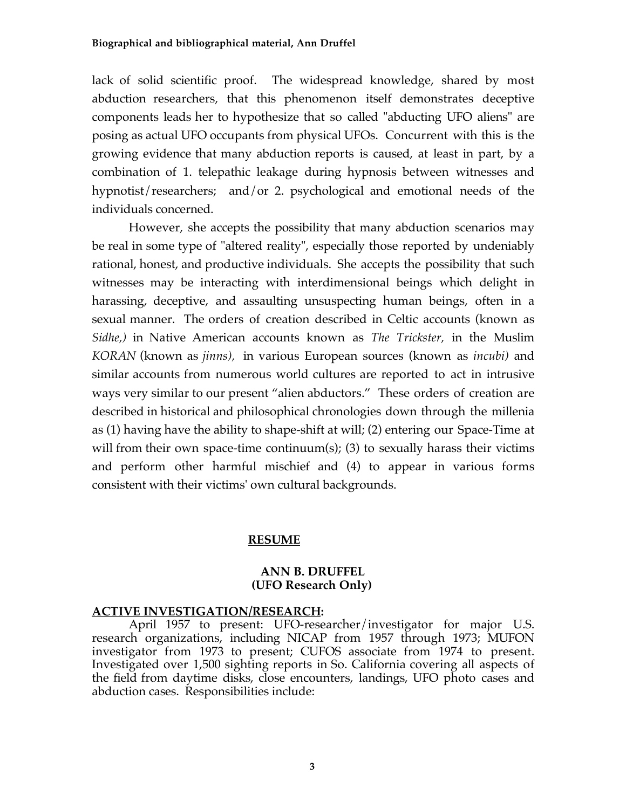### **Biographical and bibliographical material, Ann Druffel**

lack of solid scientific proof. The widespread knowledge, shared by most abduction researchers, that this phenomenon itself demonstrates deceptive components leads her to hypothesize that so called "abducting UFO aliens" are posing as actual UFO occupants from physical UFOs. Concurrent with this is the growing evidence that many abduction reports is caused, at least in part, by a combination of 1. telepathic leakage during hypnosis between witnesses and hypnotist/researchers; and/or 2. psychological and emotional needs of the individuals concerned.

However, she accepts the possibility that many abduction scenarios may be real in some type of "altered reality", especially those reported by undeniably rational, honest, and productive individuals. She accepts the possibility that such witnesses may be interacting with interdimensional beings which delight in harassing, deceptive, and assaulting unsuspecting human beings, often in a sexual manner. The orders of creation described in Celtic accounts (known as *Sidhe,)* in Native American accounts known as *The Trickster,* in the Muslim *KORAN* (known as *jinns),* in various European sources (known as *incubi)* and similar accounts from numerous world cultures are reported to act in intrusive ways very similar to our present "alien abductors." These orders of creation are described in historical and philosophical chronologies down through the millenia as (1) having have the ability to shape-shift at will; (2) entering our Space-Time at will from their own space-time continuum(s); (3) to sexually harass their victims and perform other harmful mischief and (4) to appear in various forms consistent with their victims' own cultural backgrounds.

### **RESUME**

### **ANN B. DRUFFEL (UFO Research Only)**

### **ACTIVE INVESTIGATION/RESEARCH:**

April 1957 to present: UFO-researcher/investigator for major U.S. research organizations, including NICAP from 1957 through 1973; MUFON investigator from 1973 to present; CUFOS associate from 1974 to present. Investigated over 1,500 sighting reports in So. California covering all aspects of the field from daytime disks, close encounters, landings, UFO photo cases and abduction cases. Responsibilities include: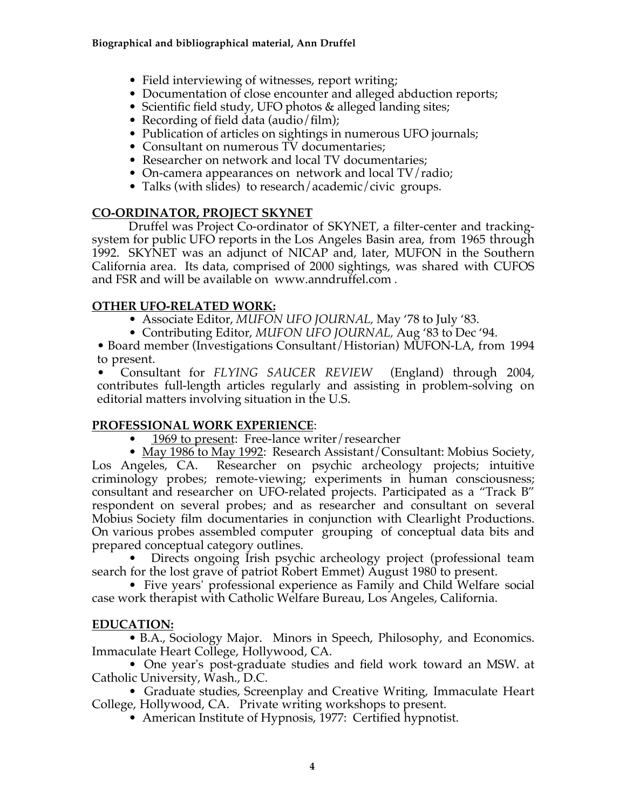- Field interviewing of witnesses, report writing;
- Documentation of close encounter and alleged abduction reports;
- Scientific field study, UFO photos & alleged landing sites;
- Recording of field data (audio/film);
- Publication of articles on sightings in numerous UFO journals;
- Consultant on numerous TV documentaries;
- Researcher on network and local TV documentaries;
- On-camera appearances on network and local TV/radio;
- Talks (with slides) to research/academic/civic groups.

# **CO-ORDINATOR, PROJECT SKYNET**

Druffel was Project Co-ordinator of SKYNET, a filter-center and trackingsystem for public UFO reports in the Los Angeles Basin area, from 1965 through 1992. SKYNET was an adjunct of NICAP and, later, MUFON in the Southern California area. Its data, comprised of 2000 sightings, was shared with CUFOS and FSR and will be available on www.anndruffel.com *.*

# **OTHER UFO-RELATED WORK:**

- Associate Editor, *MUFON UFO JOURNAL,* May '78 to July '83.
- Contributing Editor, *MUFON UFO JOURNAL,* Aug '83 to Dec '94.

• Board member (Investigations Consultant/Historian) MUFON-LA, from 1994 to present.

• Consultant for *FLYING SAUCER REVIEW* (England) through 2004, contributes full-length articles regularly and assisting in problem-solving on editorial matters involving situation in the U.S.

# **PROFESSIONAL WORK EXPERIENCE**:

• 1969 to present: Free-lance writer/researcher

• May 1986 to May 1992: Research Assistant/Consultant: Mobius Society, Los Angeles, CA. Researcher on psychic archeology projects; intuitive criminology probes; remote-viewing; experiments in human consciousness; consultant and researcher on UFO-related projects. Participated as a "Track B" respondent on several probes; and as researcher and consultant on several Mobius Society film documentaries in conjunction with Clearlight Productions. On various probes assembled computer grouping of conceptual data bits and prepared conceptual category outlines.

• Directs ongoing Irish psychic archeology project (professional team search for the lost grave of patriot Robert Emmet) August 1980 to present.

 • Five years' professional experience as Family and Child Welfare social case work therapist with Catholic Welfare Bureau, Los Angeles, California.

# **EDUCATION:**

• B.A., Sociology Major. Minors in Speech, Philosophy, and Economics. Immaculate Heart College, Hollywood, CA.

 • One year's post-graduate studies and field work toward an MSW. at Catholic University, Wash., D.C.

• Graduate studies, Screenplay and Creative Writing, Immaculate Heart College, Hollywood, CA. Private writing workshops to present.

• American Institute of Hypnosis, 1977: Certified hypnotist.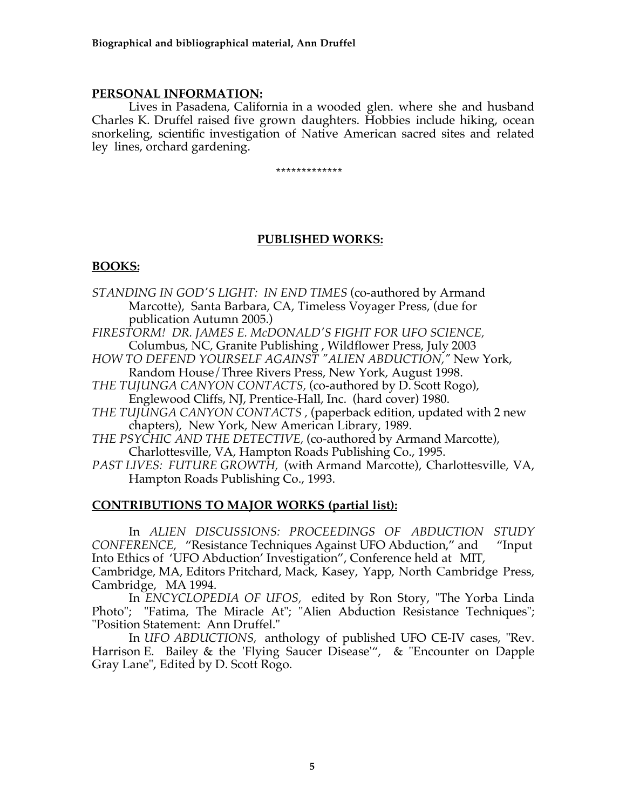### **PERSONAL INFORMATION:**

Lives in Pasadena, California in a wooded glen. where she and husband Charles K. Druffel raised five grown daughters. Hobbies include hiking, ocean snorkeling, scientific investigation of Native American sacred sites and related ley lines, orchard gardening.

#### \*\*\*\*\*\*\*\*\*\*\*\*\*

### **PUBLISHED WORKS:**

### **BOOKS:**

- *STANDING IN GOD'S LIGHT: IN END TIMES* (co-authored by Armand Marcotte), Santa Barbara, CA, Timeless Voyager Press, (due for publication Autumn 2005.)
- *FIRESTORM! DR. JAMES E. McDONALD'S FIGHT FOR UFO SCIENCE,*  Columbus, NC, Granite Publishing , Wildflower Press, July 2003
- *HOW TO DEFEND YOURSELF AGAINST "ALIEN ABDUCTION,"* New York, Random House/Three Rivers Press, New York, August 1998.
- *THE TUJUNGA CANYON CONTACTS,* (co-authored by D. Scott Rogo), Englewood Cliffs, NJ, Prentice-Hall, Inc. (hard cover) 1980.
- *THE TUJUNGA CANYON CONTACTS ,* (paperback edition, updated with 2 new chapters), New York, New American Library, 1989.
- *THE PSYCHIC AND THE DETECTIVE,* (co-authored by Armand Marcotte), Charlottesville, VA, Hampton Roads Publishing Co., 1995.
- *PAST LIVES: FUTURE GROWTH,* (with Armand Marcotte), Charlottesville, VA, Hampton Roads Publishing Co., 1993.

### **CONTRIBUTIONS TO MAJOR WORKS (partial list):**

In *ALIEN DISCUSSIONS: PROCEEDINGS OF ABDUCTION STUDY CONFERENCE,* "Resistance Techniques Against UFO Abduction," and "Input Into Ethics of 'UFO Abduction' Investigation", Conference held at MIT, Cambridge, MA, Editors Pritchard, Mack, Kasey, Yapp, North Cambridge Press, Cambridge, MA 1994.

In *ENCYCLOPEDIA OF UFOS,* edited by Ron Story, "The Yorba Linda Photo"; "Fatima, The Miracle At"; "Alien Abduction Resistance Techniques"; "Position Statement: Ann Druffel."

In *UFO ABDUCTIONS,* anthology of published UFO CE-IV cases, "Rev. Harrison E. Bailey & the 'Flying Saucer Disease'", & "Encounter on Dapple Gray Lane", Edited by D. Scott Rogo.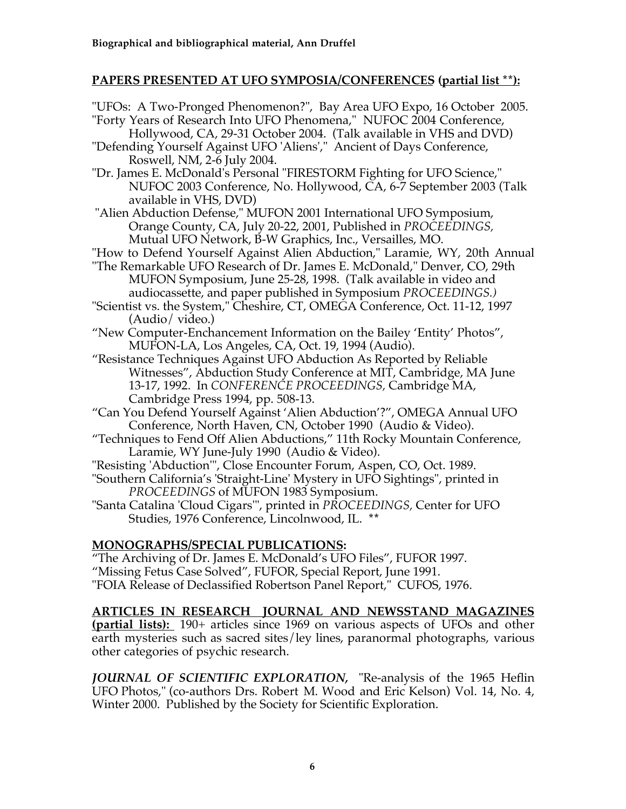# **PAPERS PRESENTED AT UFO SYMPOSIA/CONFERENCES (partial list \*\*):**

"UFOs: A Two-Pronged Phenomenon?", Bay Area UFO Expo, 16 October 2005. "Forty Years of Research Into UFO Phenomena," NUFOC 2004 Conference, Hollywood, CA, 29-31 October 2004. (Talk available in VHS and DVD) "Defending Yourself Against UFO 'Aliens'," Ancient of Days Conference, Roswell, NM, 2-6 July 2004. "Dr. James E. McDonald's Personal "FIRESTORM Fighting for UFO Science," NUFOC 2003 Conference, No. Hollywood, CA, 6-7 September 2003 (Talk available in VHS, DVD) "Alien Abduction Defense," MUFON 2001 International UFO Symposium, Orange County, CA, July 20-22, 2001, Published in *PROCEEDINGS,*  Mutual UFO Network, B-W Graphics, Inc., Versailles, MO. "How to Defend Yourself Against Alien Abduction," Laramie, WY, 20th Annual "The Remarkable UFO Research of Dr. James E. McDonald," Denver, CO, 29th MUFON Symposium, June 25-28, 1998. (Talk available in video and audiocassette, and paper published in Symposium *PROCEEDINGS.)* "Scientist vs. the System," Cheshire, CT, OMEGA Conference, Oct. 11-12, 1997 (Audio/ video.) "New Computer-Enchancement Information on the Bailey 'Entity' Photos", MUFON-LA, Los Angeles, CA, Oct. 19, 1994 (Audio). "Resistance Techniques Against UFO Abduction As Reported by Reliable Witnesses", Abduction Study Conference at MIT, Cambridge, MA June 13-17, 1992. In *CONFERENCE PROCEEDINGS,* Cambridge MA, Cambridge Press 1994, pp. 508-13. "Can You Defend Yourself Against 'Alien Abduction'?", OMEGA Annual UFO Conference, North Haven, CN, October 1990 (Audio & Video). "Techniques to Fend Off Alien Abductions," 11th Rocky Mountain Conference, Laramie, WY June-July 1990 (Audio & Video). "Resisting 'Abduction'", Close Encounter Forum, Aspen, CO, Oct. 1989. "Southern California's 'Straight-Line' Mystery in UFO Sightings", printed in *PROCEEDINGS* of MUFON 1983 Symposium. "Santa Catalina 'Cloud Cigars'", printed in *PROCEEDINGS,* Center for UFO Studies, 1976 Conference, Lincolnwood, IL. **\*\***

# **MONOGRAPHS/SPECIAL PUBLICATIONS:**

"The Archiving of Dr. James E. McDonald's UFO Files", FUFOR 1997.

"Missing Fetus Case Solved", FUFOR, Special Report, June 1991.

"FOIA Release of Declassified Robertson Panel Report," CUFOS, 1976.

**ARTICLES IN RESEARCH JOURNAL AND NEWSSTAND MAGAZINES (partial lists):** 190+ articles since 1969 on various aspects of UFOs and other earth mysteries such as sacred sites/ley lines, paranormal photographs, various other categories of psychic research.

*JOURNAL OF SCIENTIFIC EXPLORATION,* "Re-analysis of the 1965 Heflin UFO Photos," (co-authors Drs. Robert M. Wood and Eric Kelson) Vol. 14, No. 4, Winter 2000. Published by the Society for Scientific Exploration.